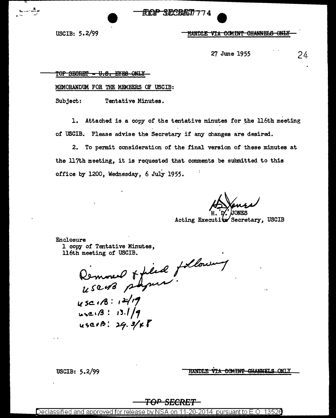USCIB: *5.* 2/99

<u>HANDLE VIA COMINT CHANNELS ONLY</u>

27 June 1955 24

TOP SECRET - U.S. EYES ONLY

MEMORANDUM FOR THE MEMBERS OF USCIB:

Subject: Tentative Minutes.

1. Attached is a copy of the tentative minutes for the 116th meeting of USCIB. Please advise the Secretary if any changes are desired.

2. To permit consideration of the final version of these minutes at the 117th meeting, it is requested that comments be submitted to this office by 1200, Wednesday, 6 July 1955.

' d'/' /JONES Acting Executive Secretary, USCIB

Enclosure 1 copy of Tentative Minutes, ll6th meeting of USCIB.

Removed & filed  $1.50$  ms

k sc 1/8: 1<sup>21</sup>/17<br>use: 13: 13.1/9  $\mu$ sc1B: 29.3/  $\kappa$ <sup>8</sup>

USCIB: 5.2/99

VIA COMINT GHANNELS ONLY **HANDLE** 

# **TOP SECRET**

<u>Declassified and approved for release by NSA on 11-20-2014  $\,$  pursuant to E.O. 13526  $\,$ </u>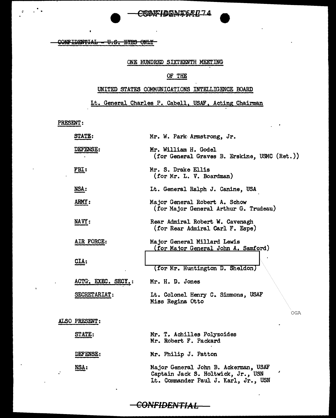## CRIMFIDENT64074

CONFIDENTIAL - U.S. EYES ONLY

#### ONE HUNDRED SIXTEENTH MEETING

#### OF THE

### UNITED STATES COMMUNICATIONS INTELLIGENCE BOARD

## Lt. General Charles P. Cabell, USAF, Acting Chairman

PRESENT:

 $\sim$ 

 $\mathcal{L}^{\bullet}$  .

| <b>STATE:</b>      | Mr. W. Park Armstrong, Jr.                                                                                         |
|--------------------|--------------------------------------------------------------------------------------------------------------------|
| <b>DEFENSE:</b>    | Mr. William H. Godel<br>(for General Graves B. Erskine, USMC (Ret.))                                               |
| FBI:               | Mr. S. Drake Ellis<br>(for Mr. L. V. Boardman)                                                                     |
| NSA:               | Lt. General Ralph J. Canine, USA                                                                                   |
| ARMY:              | Major General Robert A. Schow<br>(for Major General Arthur G. Trudeau)                                             |
| <b>NAVY:</b>       | Rear Admiral Robert W. Cavenagh<br>(for Rear Admiral Carl F. Espe)                                                 |
| AIR FORCE:         | Major General Millard Lewis<br>(for Major General John A. Samford)                                                 |
| CIA:               | (for Mr. Huntington D. Sheldon)                                                                                    |
| ACTG. EXEC. SECY.: | Mr. H. D. Jones                                                                                                    |
| SECRETARIAT:       | It. Colonel Henry C. Simmons, USAF<br>Miss Regina Otto<br>OGA                                                      |
| ALSO PRESENT:      |                                                                                                                    |
| STATE:             | Mr. T. Achilles Polyzoides<br>Mr. Robert F. Packard                                                                |
| DEFENSE:           | Mr. Philip J. Patton                                                                                               |
| NSA:               | Major General John B. Ackerman, USAF<br>Captain Jack S. Holtwick, Jr., USN<br>Lt. Commander Paul J. Karl, Jr., USN |

 $\frac{1}{1}$ CONFIDENTIAL